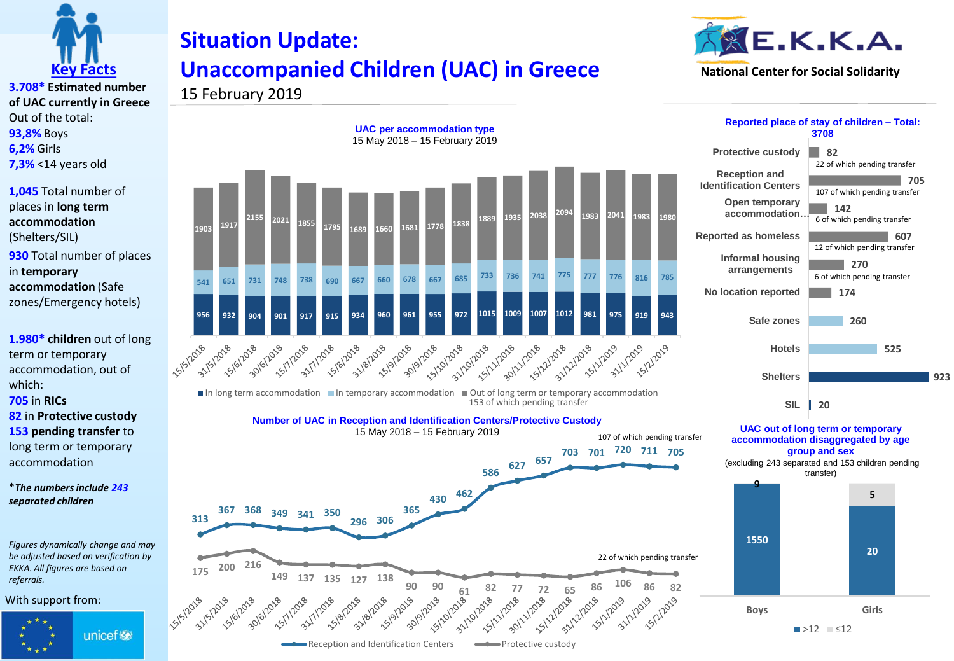

## **Situation Update: Unaccompanied Children (UAC) in Greece**



**3.708\* Estimated number of UAC currently in Greece** Out of the total: **93,8%** Boys **6,2%** Girls **7,3%** <14 years old

**1,045** Total number of places in **long term accommodation**  (Shelters/SIL) **930** Total number of places in **temporary accommodation** (Safe zones/Emergency hotels)

**1.980\* children** out of long term or temporary accommodation, out of which:

**705** in **RICs**

**82** in **Protective custody 153 pending transfer** to long term or temporary accommodation

\**The numbers include 243 separated children*

*Figures dynamically change and may be adjusted based on verification by EKKA. All figures are based on referrals.* 

**15/2018** 

2018 12018

1018 101918

2018 12018

1018 112018

2018 1/2018

With support from:



15 February 2019



Reception and Identification Centers **The Protective custody** 

2018 12018

1018 1218

**82 705 142 Protective custody Reception and Identification Centers Open temporary Reported place of stay of children – Total: 3708** 22 of which pending transfer 107 of which pending transfer

**accommodation… Reported as homeless** 6 of which pending transfer

> **270 Informal housing** 12 of which pending transfer

**607**



**UAC out of long term or temporary accommodation disaggregated by age group and sex 20 SIL**

(excluding 243 separated and 153 children pending transfer)

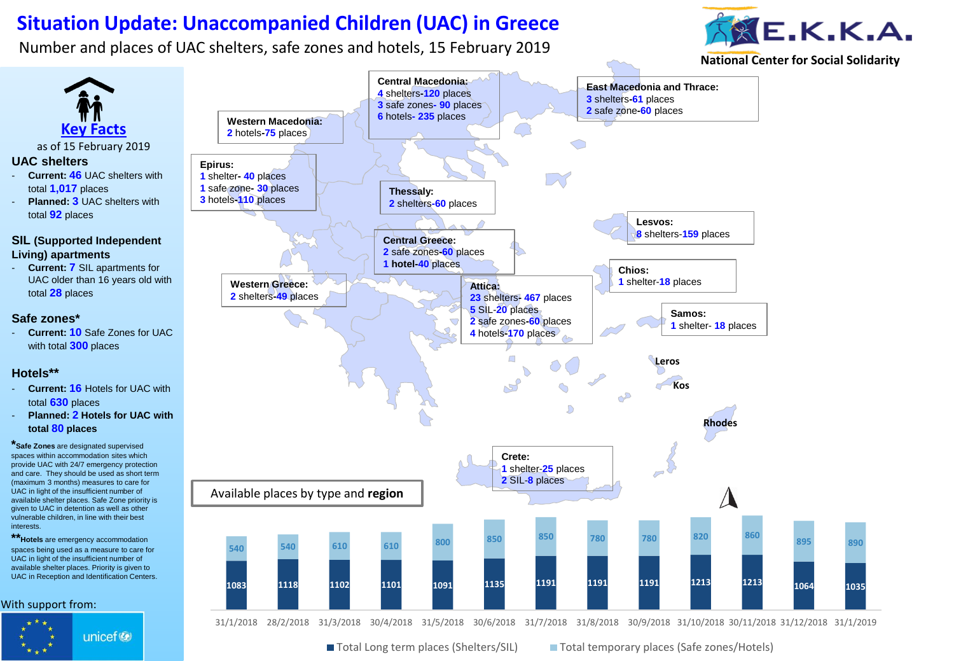## **Situation Update: Unaccompanied Children (UAC) in Greece**

Number and places of UAC shelters, safe zones and hotels, 15 February 2019

interests.

unicef<sup>®</sup>



**National Center for Social Solidarity**



31/1/2018 28/2/2018 31/3/2018 30/4/2018 31/5/2018 30/6/2018 31/7/2018 31/8/2018 30/9/2018 31/10/2018 30/11/2018 31/12/2018 31/1/2019

■ Total Long term places (Shelters/SIL) ■ Total temporary places (Safe zones/Hotels)